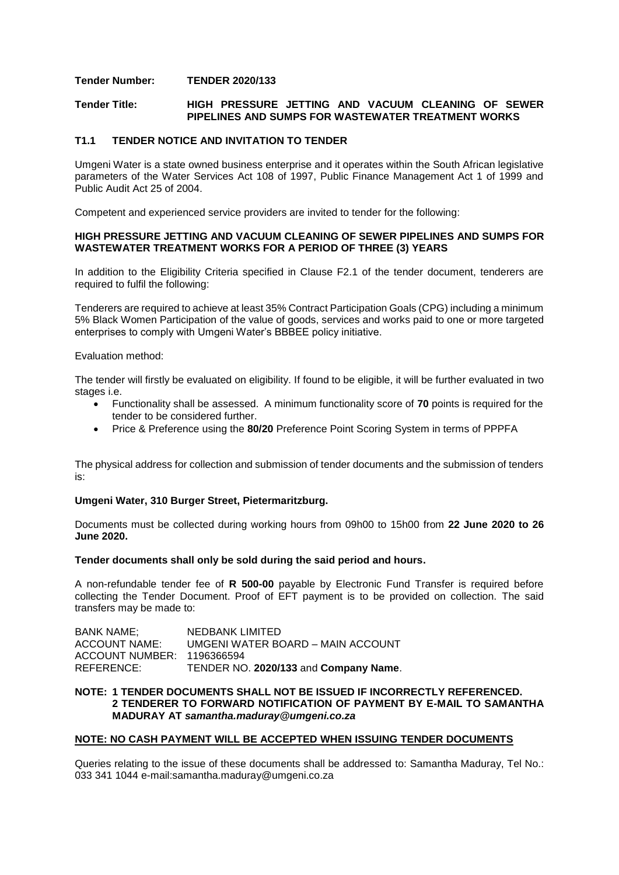# **Tender Number: TENDER 2020/133**

## **Tender Title: HIGH PRESSURE JETTING AND VACUUM CLEANING OF SEWER PIPELINES AND SUMPS FOR WASTEWATER TREATMENT WORKS**

# **T1.1 TENDER NOTICE AND INVITATION TO TENDER**

Umgeni Water is a state owned business enterprise and it operates within the South African legislative parameters of the Water Services Act 108 of 1997, Public Finance Management Act 1 of 1999 and Public Audit Act 25 of 2004.

Competent and experienced service providers are invited to tender for the following:

### **HIGH PRESSURE JETTING AND VACUUM CLEANING OF SEWER PIPELINES AND SUMPS FOR WASTEWATER TREATMENT WORKS FOR A PERIOD OF THREE (3) YEARS**

In addition to the Eligibility Criteria specified in Clause F2.1 of the tender document, tenderers are required to fulfil the following:

Tenderers are required to achieve at least 35% Contract Participation Goals (CPG) including a minimum 5% Black Women Participation of the value of goods, services and works paid to one or more targeted enterprises to comply with Umgeni Water's BBBEE policy initiative.

#### Evaluation method:

The tender will firstly be evaluated on eligibility. If found to be eligible, it will be further evaluated in two stages i.e.

- Functionality shall be assessed. A minimum functionality score of **70** points is required for the tender to be considered further.
- Price & Preference using the **80/20** Preference Point Scoring System in terms of PPPFA

The physical address for collection and submission of tender documents and the submission of tenders is:

### **Umgeni Water, 310 Burger Street, Pietermaritzburg.**

Documents must be collected during working hours from 09h00 to 15h00 from **22 June 2020 to 26 June 2020.**

### **Tender documents shall only be sold during the said period and hours.**

A non-refundable tender fee of **R 500-00** payable by Electronic Fund Transfer is required before collecting the Tender Document. Proof of EFT payment is to be provided on collection. The said transfers may be made to:

| BANK NAME:                 | NEDBANK LIMITED                       |
|----------------------------|---------------------------------------|
| <b>ACCOUNT NAME:</b>       | UMGENI WATER BOARD - MAIN ACCOUNT     |
| ACCOUNT NUMBER: 1196366594 |                                       |
| REFERENCE:                 | TENDER NO. 2020/133 and Company Name. |

## **NOTE: 1 TENDER DOCUMENTS SHALL NOT BE ISSUED IF INCORRECTLY REFERENCED. 2 TENDERER TO FORWARD NOTIFICATION OF PAYMENT BY E-MAIL TO SAMANTHA MADURAY AT** *samantha.maduray@umgeni.co.za*

### **NOTE: NO CASH PAYMENT WILL BE ACCEPTED WHEN ISSUING TENDER DOCUMENTS**

Queries relating to the issue of these documents shall be addressed to: Samantha Maduray, Tel No.: 033 341 1044 e-mail:samantha.maduray@umgeni.co.za